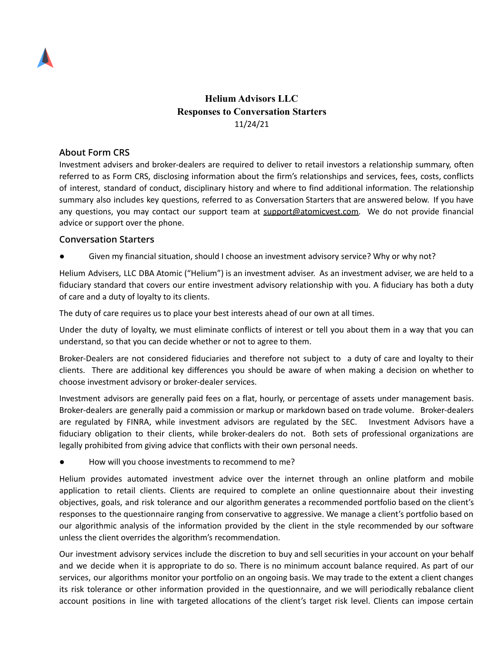

## **Helium Advisors LLC Responses to Conversation Starters** 11/24/21

## **About Form CRS**

Investment advisers and broker-dealers are required to deliver to retail investors a relationship summary, often referred to as Form CRS, disclosing information about the firm's relationships and services, fees, costs, conflicts of interest, standard of conduct, disciplinary history and where to find additional information. The relationship summary also includes key questions, referred to as Conversation Starters that are answered below. If you have any questions, you may contact our support team at [support@atomicvest.com.](mailto:support@atomicvest.com) We do not provide financial advice or support over the phone.

## **Conversation Starters**

Given my financial situation, should I choose an investment advisory service? Why or why not?

Helium Advisers, LLC DBA Atomic ("Helium") is an investment adviser. As an investment adviser, we are held to a fiduciary standard that covers our entire investment advisory relationship with you. A fiduciary has both a duty of care and a duty of loyalty to its clients.

The duty of care requires us to place your best interests ahead of our own at all times.

Under the duty of loyalty, we must eliminate conflicts of interest or tell you about them in a way that you can understand, so that you can decide whether or not to agree to them.

Broker-Dealers are not considered fiduciaries and therefore not subject to a duty of care and loyalty to their clients. There are additional key differences you should be aware of when making a decision on whether to choose investment advisory or broker-dealer services.

Investment advisors are generally paid fees on a flat, hourly, or percentage of assets under management basis. Broker-dealers are generally paid a commission or markup or markdown based on trade volume. Broker-dealers are regulated by FINRA, while investment advisors are regulated by the SEC. Investment Advisors have a fiduciary obligation to their clients, while broker-dealers do not. Both sets of professional organizations are legally prohibited from giving advice that conflicts with their own personal needs.

How will you choose investments to recommend to me?

Helium provides automated investment advice over the internet through an online platform and mobile application to retail clients. Clients are required to complete an online questionnaire about their investing objectives, goals, and risk tolerance and our algorithm generates a recommended portfolio based on the client's responses to the questionnaire ranging from conservative to aggressive. We manage a client's portfolio based on our algorithmic analysis of the information provided by the client in the style recommended by our software unless the client overrides the algorithm's recommendation.

Our investment advisory services include the discretion to buy and sell securities in your account on your behalf and we decide when it is appropriate to do so. There is no minimum account balance required. As part of our services, our algorithms monitor your portfolio on an ongoing basis. We may trade to the extent a client changes its risk tolerance or other information provided in the questionnaire, and we will periodically rebalance client account positions in line with targeted allocations of the client's target risk level. Clients can impose certain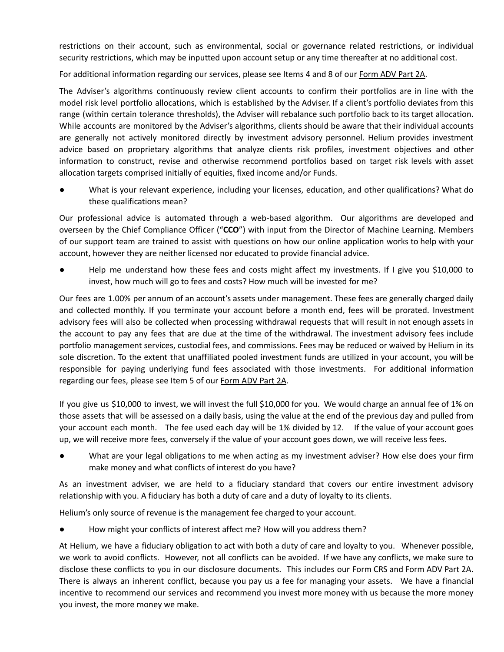restrictions on their account, such as environmental, social or governance related restrictions, or individual security restrictions, which may be inputted upon account setup or any time thereafter at no additional cost.

For additional information regarding our services, please see Items 4 and 8 of our [Form](https://adviserinfo.sec.gov/firm/summary/313255) ADV Part 2A.

The Adviser's algorithms continuously review client accounts to confirm their portfolios are in line with the model risk level portfolio allocations, which is established by the Adviser. If a client's portfolio deviates from this range (within certain tolerance thresholds), the Adviser will rebalance such portfolio back to its target allocation. While accounts are monitored by the Adviser's algorithms, clients should be aware that their individual accounts are generally not actively monitored directly by investment advisory personnel. Helium provides investment advice based on proprietary algorithms that analyze clients risk profiles, investment objectives and other information to construct, revise and otherwise recommend portfolios based on target risk levels with asset allocation targets comprised initially of equities, fixed income and/or Funds.

What is your relevant experience, including your licenses, education, and other qualifications? What do these qualifications mean?

Our professional advice is automated through a web-based algorithm. Our algorithms are developed and overseen by the Chief Compliance Officer ("**CCO**") with input from the Director of Machine Learning. Members of our support team are trained to assist with questions on how our online application works to help with your account, however they are neither licensed nor educated to provide financial advice.

Help me understand how these fees and costs might affect my investments. If I give you \$10,000 to invest, how much will go to fees and costs? How much will be invested for me?

Our fees are 1.00% per annum of an account's assets under management. These fees are generally charged daily and collected monthly. If you terminate your account before a month end, fees will be prorated. Investment advisory fees will also be collected when processing withdrawal requests that will result in not enough assets in the account to pay any fees that are due at the time of the withdrawal. The investment advisory fees include portfolio management services, custodial fees, and commissions. Fees may be reduced or waived by Helium in its sole discretion. To the extent that unaffiliated pooled investment funds are utilized in your account, you will be responsible for paying underlying fund fees associated with those investments. For additional information regarding our fees, please see Item 5 of our [Form](https://adviserinfo.sec.gov/firm/summary/313255) ADV Part 2A.

If you give us \$10,000 to invest, we will invest the full \$10,000 for you. We would charge an annual fee of 1% on those assets that will be assessed on a daily basis, using the value at the end of the previous day and pulled from your account each month. The fee used each day will be 1% divided by 12. If the value of your account goes up, we will receive more fees, conversely if the value of your account goes down, we will receive less fees.

What are your legal obligations to me when acting as my investment adviser? How else does your firm make money and what conflicts of interest do you have?

As an investment adviser, we are held to a fiduciary standard that covers our entire investment advisory relationship with you. A fiduciary has both a duty of care and a duty of loyalty to its clients.

Helium's only source of revenue is the management fee charged to your account.

How might your conflicts of interest affect me? How will you address them?

At Helium, we have a fiduciary obligation to act with both a duty of care and loyalty to you. Whenever possible, we work to avoid conflicts. However, not all conflicts can be avoided. If we have any conflicts, we make sure to disclose these conflicts to you in our disclosure documents. This includes our Form CRS and Form ADV Part 2A. There is always an inherent conflict, because you pay us a fee for managing your assets. We have a financial incentive to recommend our services and recommend you invest more money with us because the more money you invest, the more money we make.